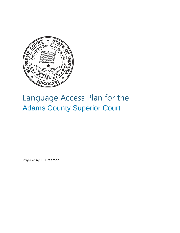

# Language Access Plan for the Adams County Superior Court

*Prepared by* C. Freeman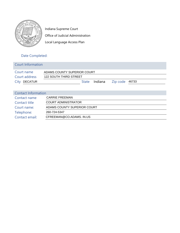

Indiana Supreme Court Office of Judicial Administration Local Language Access Plan

## Date Completed:

| <b>Court Information</b>   |                                              |  |  |  |  |  |
|----------------------------|----------------------------------------------|--|--|--|--|--|
| Court name                 | ADAMS COUNTY SUPERIOR COURT                  |  |  |  |  |  |
| Court address              | <b>122 SOUTH THIRD STREET</b>                |  |  |  |  |  |
| <b>DECATUR</b><br>City     | Indiana<br>46733<br>Zip code<br><b>State</b> |  |  |  |  |  |
|                            |                                              |  |  |  |  |  |
| <b>Contact Information</b> |                                              |  |  |  |  |  |
| Contact name               | <b>CARRIE FREEMAN</b>                        |  |  |  |  |  |
| Contact title              | <b>COURT ADMINISTRATOR</b>                   |  |  |  |  |  |
| Court name:                | ADAMS COUNTY SUPERIOR COURT                  |  |  |  |  |  |

Telephone: 260-724-5347

Contact email: CFREEMAN@CO.ADAMS. IN.US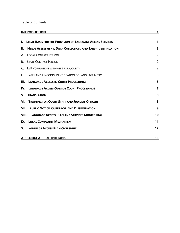#### Table of Contents

| <b>INTRODUCTION</b>                                                      |                |
|--------------------------------------------------------------------------|----------------|
| I. LEGAL BASIS FOR THE PROVISION OF LANGUAGE ACCESS SERVICES             | 1              |
| Н.<br><b>NEEDS ASSESSMENT, DATA COLLECTION, AND EARLY IDENTIFICATION</b> | $\overline{2}$ |
| <b>LOCAL CONTACT PERSON</b><br>А.                                        | $\overline{2}$ |
| <b>B. STATE CONTACT PERSON</b>                                           | $\overline{2}$ |
| C. LEP POPULATION ESTIMATES FOR COUNTY                                   | $\overline{2}$ |
| D. EARLY AND ONGOING IDENTIFICATION OF LANGUAGE NEEDS                    | 3              |
| Ш.<br><b>LANGUAGE ACCESS IN COURT PROCEEDINGS</b>                        | 5              |
| <b>IV. LANGUAGE ACCESS OUTSIDE COURT PROCEEDINGS</b>                     | 7              |
| $\mathbf{V}_{\cdot}$<br><b>TRANSLATION</b>                               | 8              |
| <b>VI. TRAINING FOR COURT STAFF AND JUDICIAL OFFICERS</b>                | 8              |
| <b>VII. PUBLIC NOTICE, OUTREACH, AND DISSEMINATION</b>                   | 9              |
| <b>VIII. LANGUAGE ACCESS PLAN AND SERVICES MONITORING</b>                | 10             |
| IX. LOCAL COMPLAINT MECHANISM                                            | 11             |
| X. LANGUAGE ACCESS PLAN OVERSIGHT                                        | 12             |
| <b>APPENDIX A - DEFINITIONS</b>                                          | 13             |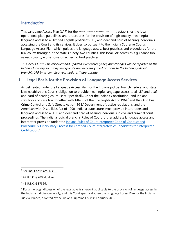## Introduction

This Language Access Plan (LAP) for the ADAMS COUNTY SUPERIOR COURT  $\qquad$  , establishes the local operational plan, guidelines, and procedures for the provision of high-quality, meaningful language access to all limited English proficient (LEP) and deaf and hard of hearing individuals accessing the Court and its services. It does so pursuant to the Indiana Supreme Court's Language Access Plan, which guides the language access best practices and procedures for the trial courts throughout the state's ninety-two counties. This local LAP serves as a guidance tool as each county works towards achieving best practices.

*This local LAP will be reviewed and updated every three years, and changes will be reported to the Indiana Judiciary so it may incorporate any necessary modifications to the Indiana judicial branch's LAP in its own five-year update, if appropriate.*

## **I. Legal Basis for the Provision of Language Access Services**

As delineated under the Language Access Plan for the Indiana judicial branch, federal and state laws establish this Court's obligation to provide meaningful language access to all LEP and deaf and hard of hearing court users. Specifically, under the Indiana Constitution<sup>1</sup> and Indiana statutory and case law, together with Title VI of the Civil Rights Act of 1964 $^{\rm 2}$  and the Omnibus Crime Control and Safe Streets Act of 1968, $3$  Department of Justice regulations, and the American with Disabilities Act of 1990, Indiana state courts must provide interpreters and language access to all LEP and deaf and hard of hearing individuals in civil and criminal court proceedings. The Indiana judicial branch's Rules of Court further address language access and interpreter provision under the Indiana Rules of Court Interpreter Code of Conduct and Procedure & Disciplinary Process for Certified Court Interpreters & Candidates for Interpreter Certification.<sup>4</sup>

 $1$  See Ind. Const. art. 1, §13.

<sup>2</sup> 42 U.S.C. § 2000d, et seq.

<sup>3</sup> 42 U.S.C. § 3789d.

<sup>&</sup>lt;sup>4</sup> For a thorough discussion of the legislative framework applicable to the provision of language access in the Indiana Judiciary generally, and this Court specifically, see the Language Access Plan for the Indiana Judicial Branch, adopted by the Indiana Supreme Court in February 2019.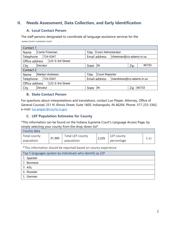## **II. Needs Assessment, Data Collection, and Early Identification**

#### **A. Local Contact Person**

The staff persons designated to coordinate all language assistance services for the . ADAMS COUNTY SUPERIOR COURT

| Contact 1                          |                        |                                                                |       |                              |                                          |     |       |  |
|------------------------------------|------------------------|----------------------------------------------------------------|-------|------------------------------|------------------------------------------|-----|-------|--|
| Name                               | Carrie Freeman         |                                                                |       | Court Administrator<br>Title |                                          |     |       |  |
| Telephone                          | 724-5347               |                                                                |       |                              | Email address<br>cfreeman@co.adams.in.us |     |       |  |
| Office address<br>122 S 3rd Street |                        |                                                                |       |                              |                                          |     |       |  |
| City                               | Decatur                |                                                                | State | IN                           |                                          | Zip | 46733 |  |
| Contact 2                          |                        |                                                                |       |                              |                                          |     |       |  |
| Name                               | <b>Marilyn Andrews</b> |                                                                | Title | <b>Court Reporter</b>        |                                          |     |       |  |
| 724-5347<br>Telephone              |                        | Email address<br>$\sqrt{\frac{m}{m}}$ mandrews @co.adams.in.us |       |                              |                                          |     |       |  |
| 122 S 3rd Street<br>Office address |                        |                                                                |       |                              |                                          |     |       |  |
| City                               | Decatur                |                                                                | State | IN<br>Zip<br>46733           |                                          |     |       |  |

#### **B. State Contact Person**

For questions about interpretations and translations, contact Lun Pieper, Attorney, Office of General Counsel, 251 N. Illinois Street, Suite 1600, Indianapolis, IN 46204. Phone: 317-233-3362; e-mail: lun.pieper@courts.in.gov.

#### **C. LEP Population Estimates for County**

\*This information can be found on the Indiana Supreme Court's Language Access Page, by simply selecting your county from the drop-down list\*.

| County data                |        |                                |       |                          |      |
|----------------------------|--------|--------------------------------|-------|--------------------------|------|
| Total county<br>population | 31,300 | Total LEP county<br>population | 2,225 | LEP county<br>percentage | 7.11 |

\*This information should be reported based on county experience

| Top 5 languages spoken by individuals who identify as LEP |
|-----------------------------------------------------------|
| 1. Spanish                                                |
| 2. Burmese                                                |
| 3. ASL                                                    |
| 4. Russian                                                |
| 5. German                                                 |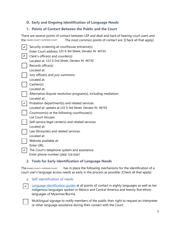#### **D. Early and Ongoing Identification of Language Needs**

#### **1. Points of Contact Between the Public and the Court**

There are several points of contact between LEP and deaf and hard of hearing court users and . The most common points of contact are: [Check all that apply] the ADAMS COUNTY SUPERIOR COURT

| Security screening at courthouse entrance(s)                                       |
|------------------------------------------------------------------------------------|
| Enter Court address: 122 S 3rd Street, Decatur IN 46733                            |
| Clerk's office(s) and counter(s)                                                   |
| Located at: 112 S 2nd Street, Decatur IN 46733                                     |
| Records office(s):                                                                 |
| Located at:                                                                        |
| Jury office(s) and jury summons:                                                   |
| Located at:                                                                        |
| Cashier(s):                                                                        |
| Located at:                                                                        |
| Alternative dispute resolution program(s), including mediation:                    |
| Located at:                                                                        |
| Probation department(s) and related services:                                      |
|                                                                                    |
| Located at: upstairs at 122 S 3rd Street, Decatur IN 46733                         |
| Courtroom(s) at the following courthouse(s):                                       |
| List Court Houses:                                                                 |
|                                                                                    |
| Self-service legal center(s) and related services:<br>Located at:                  |
|                                                                                    |
| Law library (ies) and related services:<br>Located at:                             |
|                                                                                    |
| Website available at:                                                              |
| Enter URL:                                                                         |
| The Court's telephone system and assistance:<br>Enter phone number: (260) 724-5347 |

#### **2. Tools for Early Identification of Language Needs**

has in place the following mechanisms for the identification of a court user's language access needs as early in the process as possible. [Check all that apply] The ADAMS COUNTY SUPERIOR COURT

a. Self-identification of needs

 $\mathbf{v}$ 

Language identification guides at all points of contact in eighty languages as well as ten indigenous languages spoken in Mexico and Central America and twenty-five ethnic languages of Myanmar/Burma.

Multilingual signage to notify members of the public their right to request an interpreter or other language assistance during their contact with the Court.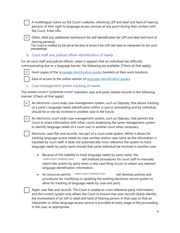A multilingual notice on the Court's website, informing LEP and deaf and hard of hearing persons of their right to language access services at any point during their contact with the Court. Enter URL:



Other: *[Add any additional mechanism for self-identification for LEP and deaf and hard of hearing persons]*

The Court is notified by the jail at the time of arrest if the LEP will need an interpreter for the court proceedings.

b. Court staff and judicial officer identification of needs

For all court staff and judicial officers, when it appears that an individual has difficulty communicating due to a language barrier, the following are available: [Check all that apply]



Hard copies of the *language identification guides* booklets at their work locations.

Ease of access to the online version of language identification quides.

#### c. Case management system tracking of needs

The ADAMS COUNTY SUPERIOR COURT maintains case and party related records in the following manner: [Check all that apply]

 $\vee$ 

✔

An electronic court-wide case management system, such as Odyssey, that allows tracking of a party's language needs identification within a case or proceeding and by individual, should he or she be involved in another case in the future.

An electronic court-wide case management system, such as Odyssey, that permits the Court to share information with other courts employing the same management system to identify language needs of a court user in another court when necessary.

Electronic case files and records, not part of a court-wide system. While it allows for tracking language access needs by case number and/or case name as the information is inputted by court staff, it does not automatically cross-reference the system to track language needs by party name should that same individual be involved in another case.

- Because of the inability to track language needs by party name, the will institute procedures for court staff to manually search the system by party when a new case filing occurs to obtain any relevant language identification information. ADAMS COUNTY SUPERIOR COURT
- As resources permit, ADAMS COUNTY SUPERIOR COURT will develop policies and procedures for modifying or updating the existing electronic record system to allow for tracking of language needs by case and party. ADAMS COUNTY SUPERIOR COURT

Paper case files and records. The Court is unable to cross-reference party information, and the current system only allows the Court to ensure that case records clearly identify the involvement of an LEP or deaf and hard of hearing person in that case so that an interpreter or other language access service is provided at every stage of the proceeding in the case, as appropriate.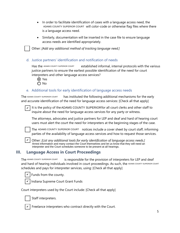- In order to facilitate identification of cases with a language access need, the ADAMS COUNTY SUPERIOR COURT will color-code or otherwise flag files where there is a language access need.
- Similarly, documentation will be inserted in the case file to ensure language access needs are identified appropriately.

Other: *[Add any additional method of tracking language need.]* 

#### d. Justice partners' identification and notification of needs

established informal, internal protocols with the various justice partners to ensure the earliest possible identification of the need for court interpreters and other language access services? Has the ADAMS COUNTY SUPERIOR COURT

**⊙** Yes O No

#### e. Additional tools for early identification of language access needs

has instituted the following additional mechanisms for the early and accurate identification of the need for language access services: [Check all that apply] The ADAMS COUNTY SUPERIOR COURT

 $\boldsymbol{\nu}$  | It is the policy of the ADAMS COUNTY SUPERIOR for all court clerks and other staff to inquire about the need for language access services for any party or witness.

The attorneys, advocates and justice partners for LEP and deaf and hard of hearing court users must alert the court the need for interpreters at the beginning stages of the case.



The ADAMS COUNTY SUPERIOR COURT notices include a cover sheet by court staff, informing parties of the availability of language access services and how to request those services.



Other: *[List any additional tools for early identification of language access needs.]*  ✔ Arrest information and many contact the Court themselves and let us know that they will need an interpreter and the Court schedules someone to be present at all hearings.

## **III. Language Access in Court Proceedings**

is responsible for the provision of interpreters for LEP and deaf and hard of hearing individuals involved in court proceedings. As such, the <u>ADAMS COUNTY SUPERIOR COURT</u> schedules and pays for interpreter services, using: [Check all that apply] The ADAMS COUNTY SUPERIOR COURT

Funds from the county.



Indiana Supreme Court Grant Funds

Court interpreters used by the Court include: [Check all that apply]



✔

Staff interpreters.

Freelance interpreters who contract directly with the Court.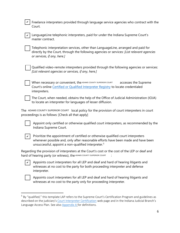Freelance interpreters provided through language service agencies who contract with the Court.



✔

 $\boldsymbol{\checkmark}$  | LanguageLine telephonic interpreters, paid for under the Indiana Supreme Court's master contract.

Telephonic interpretation services, other than LanguageLine, arranged and paid for directly by the Court, through the following agencies or services: *[List relevant agencies or services, if any, here.]*

Qualified video-remote interpreters provided through the following agencies or services: *[List relevant agencies or services, if any, here.]*

When necessary or convenient, the ADAMS COUNTY SUPERIOR COURT  $\qquad$  accesses the Supreme Court's online Certified or Qualified Interpreter Registry to locate credentialed interpreters.

The Court, when needed, obtains the help of the Office of Judicial Administration (IOJA) to locate an interpreter for languages of lesser diffusion.

The ADAMS COUNTY SUPERIOR COURT local policy for the provision of court interpreters in court proceedings is as follows: [Check all that apply]

Appoint only certified or otherwise qualified court interpreters, as recommended by the Indiana Supreme Court.

 $\mathcal{V}$ 

Prioritize the appointment of certified or otherwise qualified court interpreters whenever possible and, only after reasonable efforts have been made and have been unsuccessful, appoint a non-qualified interpreter.<sup>5</sup>

Regarding the provision of interpreters at the Court's cost or the cost of the LEP or deaf and hard of hearing party (or witness), the ADAMS COUNTY SUPERIOR COURT :



Appoints court interpreters for all LEP and deaf and hard of hearing litigants and witnesses at no cost to the party for both proceeding interpreter and defense interpreter.



Appoints court interpreters for all LEP and deaf and hard of hearing litigants and witnesses at no cost to the party only for proceeding interpreter.

<sup>&</sup>lt;sup>5</sup> By "qualified," this template LAP refers to the Supreme Court's Certification Program and guidelines as described on the judiciary's Court Interpreter Certification web page and in the Indiana Judicial Branch's Language Access Plan. See also Appendix A for definitions.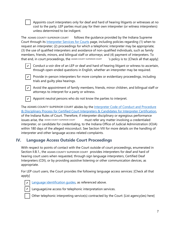Appoints court interpreters only for deaf and hard of hearing litigants or witnesses at no cost to the party. LEP parties must pay for their own interpreter (or witness interpreters) unless determined to be indigent.

follows the guidance provided by the Indiana Supreme Court through its Interpreter Services for Courts page, including policies regarding (1) when to request an interpreter; (2) proceedings for which a telephonic interpreter may be appropriate; (3) the use of qualified interpreters and avoidance of non-qualified individuals, such as family members, friends, minors, and bilingual staff or attorneys; and (4) payment of interpreters. To that end, in court proceedings, the ^DAMS COUNTY SUPERIOR COURT  $\quad$  's policy is to: [Check all that apply] The ADAMS COUNTY SUPERIOR COURT



 $\mathcal{\mathcal{L}}$  | Conduct a voir dire of an LEP or deaf and hard of hearing litigant or witness to ascertain, through open-ended questions in English, whether an interpreter may be required.



Provide in-person interpreters for more complex or evidentiary proceedings, including trials and guilty plea hearings.



 $\boldsymbol{\mathsf{v}}$  | Avoid the appointment of family members, friends, minor children, and bilingual staff or attorneys to interpret for a party or witness.



Appoint neutral persons who do not know the parties to interpret.

The ADAMS COUNTY SUPERIOR COURT abides by the <u>Interpreter Code of Conduct and Procedure</u> & Disciplinary Process for Certified Court Interpreters & Candidates for Interpreter Certification, of the Indiana Rules of Court. Therefore, if interpreter disciplinary or egregious performance must refer any matter involving a credentialed interpreter, or candidate for credentialing, to the Indiana Office of Judicial Administration (IOJA) within 180 days of the alleged misconduct. See Section VIII for more details on the handling of interpreter and other language access-related complaints. ISSUES arise, the ADAMS COUNTY SUPERIOR COURT

## **IV. Language Access Outside Court Proceedings**

With respect to points of contact with the Court outside of court proceedings, enumerated in Section II.B.1., the ADAMS COUNTY SUPERIOR COURT provides interpreters for deaf and hard of hearing court users when requested, through sign language interpreters, Certified Deaf Interpreters (CDI), or by providing assistive listening or other communication devices, as appropriate.

For LEP court users, the Court provides the following language access services: [Check all that apply]



**Language identification guides, as referenced above.** 



LanguageLine access for telephonic interpretation services.

Other telephonic interpreting service(s) contracted by the Court: [List agency(ies) here]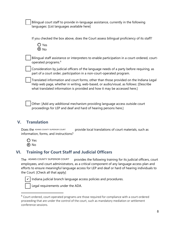Bilingual court staff to provide in-language assistance, currently in the following languages: [List languages available here]

If you checked the box above, does the Court assess bilingual proficiency of its staff?

Yes  $\odot$  No

Bilingual staff assistance or interpreters to enable participation in a court-ordered, courtoperated programs.<sup>6</sup>

Consideration by judicial officers of the language needs of a party before requiring, as part of a court order, participation in a non-court-operated program.

Translated information and court forms, other than those provided on the Indiana Legal Help web page, whether in writing, web-based, or audio/visual, as follows: [Describe what translated information is provided and how it may be accessed here.]

Other: [Add any additional mechanism providing language access outside court proceedings for LEP and deaf and hard of hearing persons here.]

## **V. Translation**

provide local translations of court materials, such as information, forms, and instructions? Does the ADAMS COUNTY SUPERIOR COURT

- Yes
- **⊙**No

#### **VI. Training for Court Staff and Judicial Officers**

provides the following training for its judicial officers, court employees, and court administrators, as a critical component of any language access plan and efforts to ensure meaningful language access for LEP and deaf or hard of hearing individuals to the Court: [Check all that apply] The ADAMS COUNTY SUPERIOR COURT



Indiana judicial branch language access policies and procedures.

Legal requirements under the ADA.

<sup>6</sup> Court-ordered, court-operated programs are those required for compliance with a court-ordered proceeding that are under the control of the court, such as mandatory mediation or settlement conference sessions.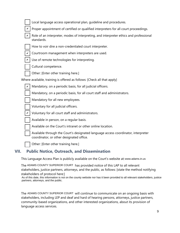|  | Local language access operational plan, quideline and procedures.                                                             |
|--|-------------------------------------------------------------------------------------------------------------------------------|
|  | Proper appointment of certified or qualified interpreters for all court proceedings.                                          |
|  | Role of an interpreter, modes of interpreting, and interpreter ethics and professional<br>standards.                          |
|  | How to voir dire a non-credentialed court interpreter.                                                                        |
|  | Courtroom management when interpreters are used.                                                                              |
|  | Use of remote technologies for interpreting.                                                                                  |
|  | Cultural competence.                                                                                                          |
|  | Other: [Enter other training here.]                                                                                           |
|  | Where available, training is offered as follows: [Check all that apply]                                                       |
|  | Mandatory, on a periodic basis, for all judicial officers.                                                                    |
|  | Mandatory, on a periodic basis, for all court staff and administrators.                                                       |
|  | Mandatory for all new employees.                                                                                              |
|  | Voluntary for all judicial officers.                                                                                          |
|  | Voluntary for all court staff and administrators.                                                                             |
|  | Available in person, on a regular basis.                                                                                      |
|  | Available on the Court's intranet or other online location.                                                                   |
|  | Available through the Court's designated language access coordinator, interpreter<br>coordinator, or other designated office. |
|  | Other: [Enter other training here.]                                                                                           |

## **VII. Public Notice, Outreach, and Dissemination**

This Language Access Plan is publicly available on the Court's website at: www.adams.in.us

The ADAMS COUNTY SUPERIOR COURT has provided notice of this LAP to all relevant stakeholders, justice partners, attorneys, and the public, as follows: [state the method notifying stakeholders of protocol here:]

As of this date, this information is not on the county website nor has it been provided to all relevant stakeholders, justice partners, attorneys, and the public.

The ADAMS COUNTY SUPERIOR COURT will continue to communicate on an ongoing basis with stakeholders, including LEP and deaf and hard of hearing persons, attorneys, justice partners, community-based organizations, and other interested organizations, about its provision of language access services.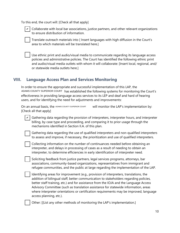To this end, the court will: [Check all that apply]



 $\checkmark$  | Collaborate with local bar associations, justice partners, and other relevant organizations to ensure distribution of information.

Translate outreach materials into [ Insert languages with high diffusion in the Court's area to which materials will be translated here.]

Use ethnic print and audio/visual media to communicate regarding its language access policies and administrative policies. The Court has identified the following ethnic print and audio/visual media outlets with whom it will collaborate: [Insert local, regional, and/ or statewide media outlets here.]

## **VIII. Language Access Plan and Services Monitoring**

In order to ensure the appropriate and successful implementation of this LAP, the ADAMS COUNTY SUPERIOR COURT has established the following systems for monitoring the Court's effectiveness in providing language access services to its LEP and deaf and hard of hearing users, and for identifying the need for adjustments and improvements:

On an annual basis, the ADAMS COUNTY SUPERIOR COURT will monitor the LAP's implementation by: [Check all that apply]

Gathering data regarding the provision of interpreters, interpreter hours, and interpreter billing, by case type and proceeding, and comparing it to prior usage through the mechanisms identified in Section II.A. of this plan.  $\vee$ 

Gathering data regarding the use of qualified interpreters and non-qualified interpreters to assess and improve, if necessary, the prioritization and use of qualified interpreters.

Collecting information on the number of continuances needed before obtaining an interpreter, and delays in processing of cases as a result of needing to obtain an interpreter, to determine efficiencies in early identification of interpreter need.

Soliciting feedback from justice partners, legal services programs, attorneys, bar associations, community-based organizations, representatives from immigrant and refugee communities, and the public at large regarding the implementation of the LAP.

Identifying areas for improvement (e.g., provision of interpreters, translations, the addition of bilingual staff, better communication to stakeholders regarding policies, better staff training, etc.) and for assistance from the IOJA and the Language Access Advisory Committee (such as translation assistance for statewide information, areas where interpreter orientations or certification requirements may be improved, language access planning, etc.).

Other: [[List any other methods of monitoring the LAP's implementation.]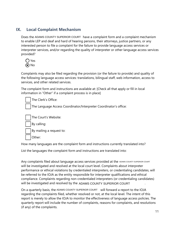## **IX. Local Complaint Mechanism**

Does the ADAMS COUNTY SUPERIOR COURT have a complaint form and a complaint mechanism to enable LEP and deaf and hard of hearing persons, their attorneys, justice partners, or any interested person to file a complaint for the failure to provide language access services or interpreter services, and/or regarding the quality of interpreter or other language access services provided?



Complaints may also be filed regarding the provision (or the failure to provide) and quality of the following language access services: translations, bilingual staff, web information, access to services, and other related services.

The complaint form and instructions are available at: [Check all that apply or fill in local information in "Other" if a complaint process is in place]

The Clerk's Office: The Language Access Coordinator/Interpreter Coordinator's office: The Court's Website: By calling: By mailing a request to: Other:

How many languages are the complaint form and instructions currently translated into?

List the languages the complaint form and instructions are translated into:

Any complaints filed about language access services provided at the <code>adams</code> county superior court will be investigated and resolved at the local court level. Complaints about interpreter performance or ethical violations by credentialed interpreters, or credentialing candidates, will be referred to the IOJA as the entity responsible for interpreter qualifications and ethical compliance. Complaints regarding non-credentialed interpreters (or credentialing candidates) will be investigated and resolved by the ADAMS COUNTY SUPERIOR COURT  $\qquad \qquad \ldots$ 

On a quarterly basis, the ADAMS COUNTY SUPERIOR COURT will forward a report to the IOJA regarding the complaints filed, whether resolved or not, at the local level. The intent of this report is merely to allow the IOJA to monitor the effectiveness of language access policies. The quarterly report will include the number of complaints, reasons for complaints, and resolutions (if any) of the complaints.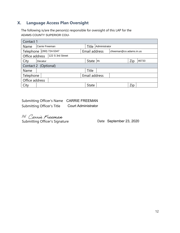## **X. Language Access Plan Oversight**

The following is/are the person(s) responsible for oversight of this LAP for the ADAMS COUNTY SUPERIOR COUI.

| Contact 1      |                                    |  |  |               |               |                         |  |     |       |
|----------------|------------------------------------|--|--|---------------|---------------|-------------------------|--|-----|-------|
| Name           | Carrie Freeman                     |  |  |               | Title         | Administrator           |  |     |       |
|                | Telephone (260) 724-5347           |  |  |               | Email address | cfreeman@co.adams.in.us |  |     |       |
|                | 122 S 3rd Street<br>Office address |  |  |               |               |                         |  |     |       |
| City           | Decatur                            |  |  |               | State IN      |                         |  | Zip | 46733 |
|                | Contact 2 (Optional)               |  |  |               |               |                         |  |     |       |
| Name           |                                    |  |  |               | Title         |                         |  |     |       |
| Telephone      |                                    |  |  | Email address |               |                         |  |     |       |
| Office address |                                    |  |  |               |               |                         |  |     |       |
| City           |                                    |  |  |               | <b>State</b>  |                         |  | Zip |       |

| Submitting Officer's Name CARRIE FREEMAN |                            |
|------------------------------------------|----------------------------|
| <b>Submitting Officer's Title</b>        | <b>Court Administrator</b> |

151 Carrie Freeman

Submitting Officer's Signature

Date September 23, 2020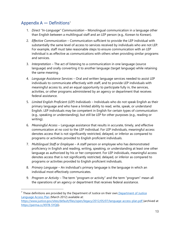## Appendix  $A -$  Definitions<sup>7</sup>

- 1. *Direct "In-Language" Communication* Monolingual communication in a language other than English between a multilingual staff and an LEP person (e.g., Korean to Korean).
- 2. *Effective Communication* Communication sufficient to provide the LEP individual with substantially the same level of access to services received by individuals who are not LEP. For example, staff must take reasonable steps to ensure communication with an LEP individual is as effective as communications with others when providing similar programs and services.
- 3. *Interpretation*  The act of listening to a communication in one language (source language) and orally converting it to another language (target language) while retaining the same meaning.
- 4. *Language Assistance Services* Oral and written language services needed to assist LEP individuals to communicate effectively with staff, and to provide LEP individuals with meaningful access to, and an equal opportunity to participate fully in, the services, activities, or other programs administered by an agency or department that receives federal assistance.
- 5. *Limited English Proficient (LEP) Individuals* Individuals who do not speak English as their primary language and who have a limited ability to read, write, speak, or understand English. LEP individuals may be competent in English for certain types of communication (e.g., speaking or understanding), but still be LEP for other purposes (e.g., reading or writing).
- 6. *Meaningful Access* Language assistance that results in accurate, timely, and effective communication at no cost to the LEP individual. For LEP individuals, meaningful access denotes access that is not significantly restricted, delayed, or inferior as compared to programs or activities provided to English proficient individuals.
- 7. *Multilingual Staff or Employee* A staff person or employee who has demonstrated proficiency in English and reading, writing, speaking, or understanding at least one other language as authorized by his or her component. For LEP individuals, meaningful access denotes access that is not significantly restricted, delayed, or inferior as compared to programs or activities provided to English proficient individuals.
- 8. *Primary Language* An individual's primary language is the language in which an individual most effectively communicates.
- 9. *Program or Activity* The term "program or activity" and the term "program" mean all the operations of an agency or department that receives federal assistance.

 $<sup>7</sup>$  These definitions are provided by the Department of Justice on their own Department of Justice</sup> Language Access Plan (March 2012) available at:

https://www.justice.gov/sites/default/files/open/legacy/2012/05/07/language-access-plan.pdf (archived at https://perma.cc/X97B-5YQ6).